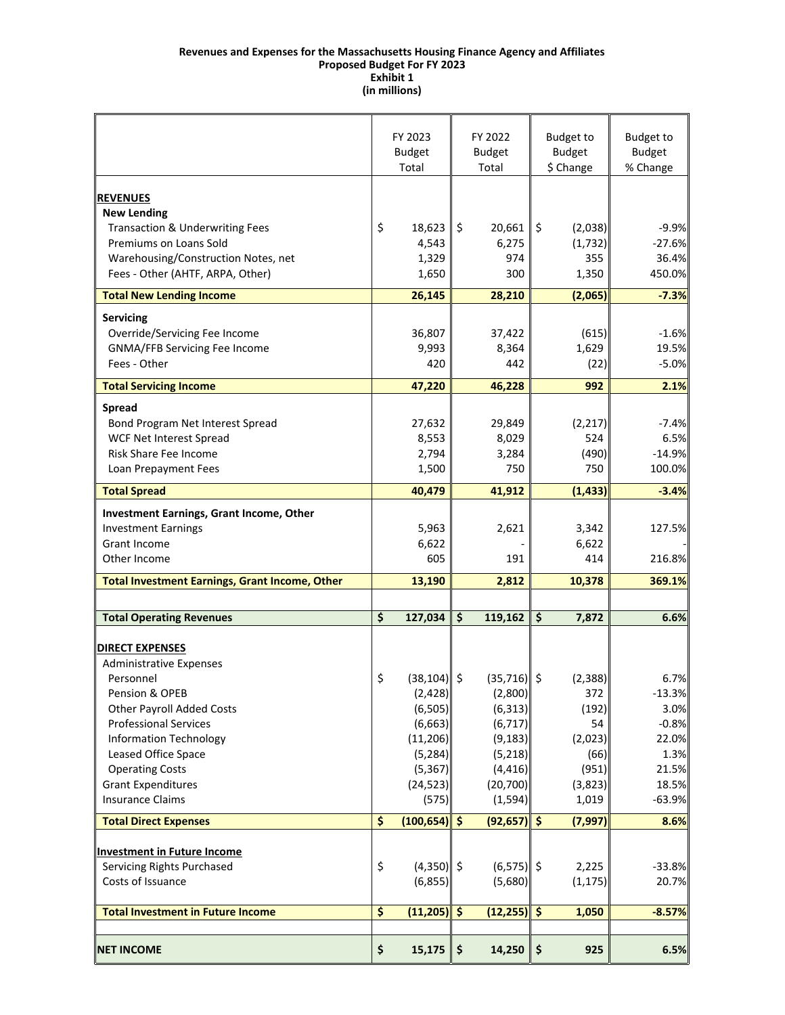#### **Revenues and Expenses for the Massachusetts Housing Finance Agency and Affiliates Exhibit 1 Proposed Budget For FY 2023 (in millions)**

|                                                       |                                 | FY 2023<br><b>Budget</b><br>Total | FY 2022<br><b>Budget</b><br>Total |                |               | <b>Budget to</b><br><b>Budget</b><br>\$ Change | <b>Budget to</b><br><b>Budget</b><br>% Change |
|-------------------------------------------------------|---------------------------------|-----------------------------------|-----------------------------------|----------------|---------------|------------------------------------------------|-----------------------------------------------|
| <b>REVENUES</b>                                       |                                 |                                   |                                   |                |               |                                                |                                               |
| <b>New Lending</b>                                    |                                 |                                   |                                   |                |               |                                                |                                               |
| Transaction & Underwriting Fees                       | \$                              | 18,623                            | \$                                | 20,661         | \$            | (2,038)                                        | $-9.9%$                                       |
| Premiums on Loans Sold                                |                                 | 4,543                             |                                   | 6,275          |               | (1, 732)                                       | $-27.6%$                                      |
| Warehousing/Construction Notes, net                   |                                 | 1,329                             |                                   | 974            |               | 355                                            | 36.4%                                         |
| Fees - Other (AHTF, ARPA, Other)                      |                                 | 1,650                             |                                   | 300            |               | 1,350                                          | 450.0%                                        |
| <b>Total New Lending Income</b>                       |                                 | 26,145                            |                                   | 28,210         |               | (2,065)                                        | $-7.3%$                                       |
| <b>Servicing</b>                                      |                                 |                                   |                                   |                |               |                                                |                                               |
| Override/Servicing Fee Income                         |                                 | 36,807                            |                                   | 37,422         |               | (615)                                          | $-1.6%$                                       |
| GNMA/FFB Servicing Fee Income                         |                                 | 9,993                             |                                   | 8,364          |               | 1,629                                          | 19.5%                                         |
| Fees - Other                                          |                                 | 420                               |                                   | 442            |               | (22)                                           | $-5.0%$                                       |
| <b>Total Servicing Income</b>                         |                                 | 47,220                            |                                   | 46,228         |               | 992                                            | 2.1%                                          |
|                                                       |                                 |                                   |                                   |                |               |                                                |                                               |
| <b>Spread</b>                                         |                                 |                                   |                                   |                |               |                                                |                                               |
| Bond Program Net Interest Spread                      |                                 | 27,632                            |                                   | 29,849         |               | (2, 217)                                       | $-7.4%$                                       |
| <b>WCF Net Interest Spread</b>                        |                                 | 8,553                             |                                   | 8,029          |               | 524                                            | 6.5%                                          |
| Risk Share Fee Income                                 |                                 | 2,794                             |                                   | 3,284<br>750   |               | (490)<br>750                                   | $-14.9%$                                      |
| Loan Prepayment Fees                                  |                                 | 1,500                             |                                   |                |               |                                                | 100.0%                                        |
| <b>Total Spread</b>                                   |                                 | 40,479                            |                                   | 41,912         |               | (1, 433)                                       | $-3.4%$                                       |
| Investment Earnings, Grant Income, Other              |                                 |                                   |                                   |                |               |                                                |                                               |
| <b>Investment Earnings</b>                            |                                 | 5,963                             |                                   | 2,621          |               | 3,342                                          | 127.5%                                        |
| Grant Income                                          |                                 | 6,622                             |                                   |                |               | 6,622                                          |                                               |
| Other Income                                          |                                 | 605                               |                                   | 191            |               | 414                                            | 216.8%                                        |
| <b>Total Investment Earnings, Grant Income, Other</b> |                                 | 13,190                            |                                   | 2,812          |               | 10,378                                         | 369.1%                                        |
|                                                       |                                 |                                   |                                   |                |               |                                                |                                               |
| <b>Total Operating Revenues</b>                       | \$                              | $127,034$ \$                      |                                   | 119,162        | \$            | 7,872                                          | 6.6%                                          |
| <b>DIRECT EXPENSES</b>                                |                                 |                                   |                                   |                |               |                                                |                                               |
| <b>Administrative Expenses</b>                        |                                 |                                   |                                   |                |               |                                                |                                               |
| Personnel                                             | \$                              | $(38, 104)$ \$                    |                                   | $(35,716)$ \$  |               | (2, 388)                                       | 6.7%                                          |
| Pension & OPEB                                        |                                 | (2,428)                           |                                   | (2,800)        |               | 372                                            | $-13.3%$                                      |
| <b>Other Payroll Added Costs</b>                      |                                 | (6, 505)                          |                                   | (6, 313)       |               | (192)                                          | 3.0%                                          |
| <b>Professional Services</b>                          |                                 | (6, 663)                          |                                   | (6, 717)       |               | 54                                             | $-0.8%$                                       |
| <b>Information Technology</b>                         |                                 | (11, 206)                         |                                   | (9, 183)       |               | (2,023)                                        | 22.0%                                         |
| Leased Office Space                                   |                                 | (5, 284)                          |                                   | (5, 218)       |               | (66)                                           | 1.3%                                          |
| <b>Operating Costs</b>                                |                                 | (5, 367)                          |                                   | (4, 416)       |               | (951)                                          | 21.5%                                         |
| <b>Grant Expenditures</b>                             |                                 | (24, 523)                         |                                   | (20, 700)      |               | (3,823)                                        | 18.5%                                         |
| <b>Insurance Claims</b>                               |                                 | (575)                             |                                   | (1, 594)       |               | 1,019                                          | $-63.9%$                                      |
| <b>Total Direct Expenses</b>                          | \$                              | $(100, 654)$ \$                   |                                   | $(92,657)$ \$  |               | (7, 997)                                       | 8.6%                                          |
| <b>Investment in Future Income</b>                    |                                 |                                   |                                   |                |               |                                                |                                               |
| Servicing Rights Purchased                            | \$                              | $(4,350)$ \$                      |                                   | $(6,575)$ \$   |               | 2,225                                          | $-33.8%$                                      |
| Costs of Issuance                                     |                                 | (6, 855)                          |                                   | (5,680)        |               | (1, 175)                                       | 20.7%                                         |
|                                                       |                                 |                                   |                                   |                |               |                                                |                                               |
| <b>Total Investment in Future Income</b>              | $\overline{\boldsymbol{\zeta}}$ | (11,205)                          | $\hat{\mathsf{S}}$                | $(12, 255)$ \$ |               | 1,050                                          | $-8.57%$                                      |
|                                                       |                                 |                                   |                                   |                |               |                                                |                                               |
| <b>NET INCOME</b>                                     | \$                              | 15,175                            | \$                                | 14,250         | $\frac{1}{2}$ | 925                                            | 6.5%                                          |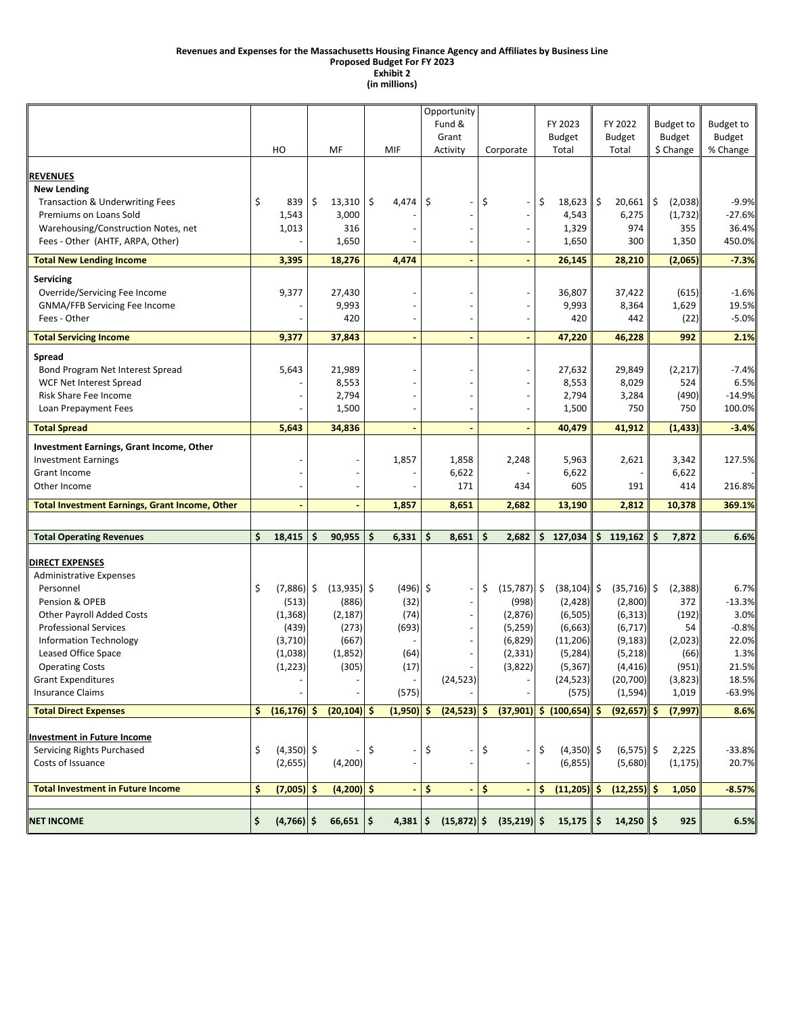#### **Revenues and Expenses for the Massachusetts Housing Finance Agency and Affiliates by Business Line**

**Proposed Budget For FY 2023**

**Exhibit 2 (in millions)**

|                                                       |                      |                |    |              |       | Opportunity              |          |                                         |                     |     |                |                  |           |  |
|-------------------------------------------------------|----------------------|----------------|----|--------------|-------|--------------------------|----------|-----------------------------------------|---------------------|-----|----------------|------------------|-----------|--|
|                                                       |                      |                |    |              |       | Fund &                   |          |                                         | FY 2023             |     | FY 2022        | <b>Budget to</b> | Budget to |  |
|                                                       |                      |                |    |              | Grant |                          |          |                                         | <b>Budget</b>       |     | Budget         | <b>Budget</b>    | Budget    |  |
|                                                       | HO                   | MF             |    | MIF          |       | Activity                 |          | Corporate                               | Total               |     | Total          | \$ Change        | % Change  |  |
|                                                       |                      |                |    |              |       |                          |          |                                         |                     |     |                |                  |           |  |
| <b>REVENUES</b>                                       |                      |                |    |              |       |                          |          |                                         |                     |     |                |                  |           |  |
| <b>New Lending</b>                                    |                      |                |    |              |       |                          |          |                                         |                     |     |                |                  |           |  |
| <b>Transaction &amp; Underwriting Fees</b>            | \$<br>839            | \$<br>13,310   | \$ | 4,474        | \$    |                          | \$       |                                         | \$<br>18,623        | \$  | 20,661         | \$<br>(2,038)    | $-9.9%$   |  |
| Premiums on Loans Sold                                | 1,543                | 3,000          |    |              |       |                          |          | $\overline{\phantom{a}}$                | 4,543               |     | 6,275          | (1,732)          | $-27.6%$  |  |
| Warehousing/Construction Notes, net                   | 1,013                | 316            |    |              |       |                          |          |                                         | 1,329               |     | 974            | 355              | 36.4%     |  |
| Fees - Other (AHTF, ARPA, Other)                      |                      | 1,650          |    |              |       |                          |          |                                         | 1,650               |     | 300            | 1,350            | 450.0%    |  |
| <b>Total New Lending Income</b>                       | 3,395                | 18,276         |    | 4,474        |       |                          |          |                                         | 26,145              |     | 28,210         | (2,065)          | $-7.3%$   |  |
|                                                       |                      |                |    |              |       |                          |          |                                         |                     |     |                |                  |           |  |
| Servicing                                             |                      |                |    |              |       |                          |          |                                         |                     |     |                |                  |           |  |
| Override/Servicing Fee Income                         | 9,377                | 27,430         |    |              |       |                          |          |                                         | 36,807              |     | 37,422         | (615)            | $-1.6%$   |  |
| GNMA/FFB Servicing Fee Income                         |                      | 9,993          |    |              |       |                          |          |                                         | 9,993               |     | 8,364          | 1,629            | 19.5%     |  |
| Fees - Other                                          |                      | 420            |    |              |       |                          |          |                                         | 420                 |     | 442            | (22)             | $-5.0%$   |  |
| <b>Total Servicing Income</b>                         | 9,377                | 37,843         |    |              |       |                          |          |                                         | 47,220              |     | 46,228         | 992              | 2.1%      |  |
| <b>Spread</b>                                         |                      |                |    |              |       |                          |          |                                         |                     |     |                |                  |           |  |
| Bond Program Net Interest Spread                      | 5,643                | 21,989         |    |              |       |                          |          |                                         | 27,632              |     | 29,849         | (2, 217)         | $-7.4%$   |  |
| <b>WCF Net Interest Spread</b>                        |                      | 8,553          |    |              |       |                          |          |                                         | 8,553               |     | 8,029          | 524              | 6.5%      |  |
| Risk Share Fee Income                                 |                      | 2,794          |    |              |       |                          |          |                                         | 2,794               |     | 3,284          | (490)            | $-14.9%$  |  |
| Loan Prepayment Fees                                  |                      | 1,500          |    |              |       |                          |          | $\overline{\phantom{a}}$                | 1,500               |     | 750            | 750              | 100.0%    |  |
|                                                       |                      |                |    |              |       |                          |          |                                         |                     |     |                |                  |           |  |
| <b>Total Spread</b>                                   | 5,643                | 34,836         |    |              |       |                          |          |                                         | 40,479              |     | 41,912         | (1, 433)         | $-3.4%$   |  |
| <b>Investment Earnings, Grant Income, Other</b>       |                      |                |    |              |       |                          |          |                                         |                     |     |                |                  |           |  |
| <b>Investment Earnings</b>                            |                      |                |    | 1,857        |       | 1,858                    |          | 2,248                                   | 5,963               |     | 2,621          | 3,342            | 127.5%    |  |
| <b>Grant Income</b>                                   |                      |                |    |              |       | 6,622                    |          |                                         | 6,622               |     |                | 6,622            |           |  |
| Other Income                                          |                      |                |    |              |       | 171                      |          | 434                                     | 605                 |     | 191            | 414              | 216.8%    |  |
| <b>Total Investment Earnings, Grant Income, Other</b> |                      |                |    | 1,857        |       | 8,651                    |          | 2,682                                   | 13,190              |     | 2,812          | 10,378           | 369.1%    |  |
|                                                       |                      |                |    |              |       |                          |          |                                         |                     |     |                |                  |           |  |
| <b>Total Operating Revenues</b>                       | \$<br>18,415         | \$<br>90,955   | \$ | 6,331        | \$    | 8,651                    | \$       | 2,682                                   | \$<br>127,034       | \$  | 119,162        | \$<br>7,872      | 6.6%      |  |
|                                                       |                      |                |    |              |       |                          |          |                                         |                     |     |                |                  |           |  |
| <b>DIRECT EXPENSES</b>                                |                      |                |    |              |       |                          |          |                                         |                     |     |                |                  |           |  |
| <b>Administrative Expenses</b>                        |                      |                |    |              |       |                          |          |                                         |                     |     |                |                  |           |  |
| Personnel                                             | \$<br>$(7,886)$ \$   | $(13,935)$ \$  |    | $(496)$ \$   |       | $\overline{\phantom{a}}$ | \$       | $(15,787)$ \$                           | $(38, 104)$ \$      |     | $(35,716)$ \$  | (2, 388)         | 6.7%      |  |
| Pension & OPEB                                        | (513)                | (886)          |    | (32)         |       |                          |          | (998)                                   | (2,428)             |     | (2,800)        | 372              | $-13.3%$  |  |
| <b>Other Payroll Added Costs</b>                      | (1, 368)             | (2, 187)       |    | (74)         |       |                          |          | (2,876)                                 | (6, 505)            |     | (6, 313)       | (192)            | 3.0%      |  |
| <b>Professional Services</b>                          | (439)                | (273)          |    | (693)        |       |                          |          | (5, 259)                                | (6, 663)            |     | (6, 717)       | 54               | $-0.8%$   |  |
| <b>Information Technology</b>                         | (3,710)              | (667)          |    |              |       |                          |          | (6,829)                                 | (11, 206)           |     | (9, 183)       | (2,023)          | 22.0%     |  |
| Leased Office Space                                   | (1,038)              | (1,852)        |    | (64)         |       |                          |          | (2, 331)                                | (5, 284)            |     | (5,218)        | (66)             | 1.3%      |  |
| <b>Operating Costs</b>                                | (1, 223)             | (305)          |    | (17)         |       |                          |          | (3,822)                                 | (5, 367)            |     | (4, 416)       | (951)            | 21.5%     |  |
| <b>Grant Expenditures</b>                             |                      |                |    |              |       | (24, 523)                |          |                                         | (24, 523)           |     | (20, 700)      | (3,823)          | 18.5%     |  |
| <b>Insurance Claims</b>                               |                      |                |    | (575)        |       |                          |          |                                         | (575)               |     | (1, 594)       | 1,019            | $-63.9%$  |  |
| <b>Total Direct Expenses</b>                          | \$<br>$(16, 176)$ \$ | $(20, 104)$ \$ |    | $(1,950)$ \$ |       |                          |          | $(24,523)$ \$ $(37,901)$ \$ $(100,654)$ |                     | \$. | (92, 657)      | (7, 997)<br>-S   | 8.6%      |  |
|                                                       |                      |                |    |              |       |                          |          |                                         |                     |     |                |                  |           |  |
| <b>Investment in Future Income</b>                    |                      |                |    |              |       |                          |          |                                         |                     |     |                |                  |           |  |
| Servicing Rights Purchased                            | \$<br>$(4,350)$ \$   |                | \$ |              | \$    |                          | \$       |                                         | \$<br>$(4,350)$ \$  |     | $(6,575)$ \$   | 2,225            | $-33.8%$  |  |
| Costs of Issuance                                     | (2,655)              | (4,200)        |    |              |       |                          |          |                                         | (6, 855)            |     | (5,680)        | (1, 175)         | 20.7%     |  |
| <b>Total Investment in Future Income</b>              | \$<br>$(7,005)$ \$   | $(4,200)$ \$   |    |              | \$    | $\blacksquare$           | <b>S</b> | $\sim$                                  | \$<br>$(11,205)$ \$ |     | $(12, 255)$ \$ | 1,050            | $-8.57%$  |  |
|                                                       |                      |                |    |              |       |                          |          |                                         |                     |     |                |                  |           |  |
| <b>NET INCOME</b>                                     | \$<br>$(4,766)$ \$   | $66,651$ \$    |    | $4,381$ \$   |       | $(15,872)$ \$            |          | $(35,219)$ \$                           | $15,175$ \$         |     | $14,250$ \$    | 925              | 6.5%      |  |
|                                                       |                      |                |    |              |       |                          |          |                                         |                     |     |                |                  |           |  |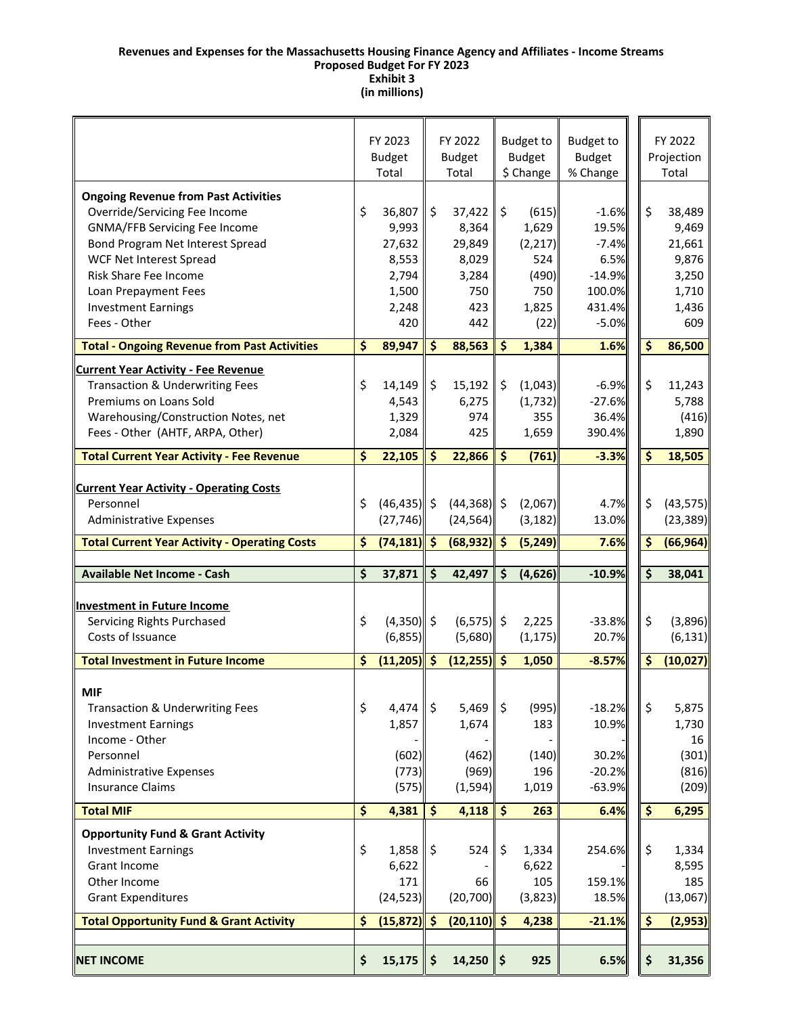#### **Revenues and Expenses for the Massachusetts Housing Finance Agency and Affiliates ‐ Income Streams Proposed Budget For FY 2023 Exhibit 3 (in millions)**

|                                                      | FY 2023 |                     |                    | FY 2022                  |                      |                                   |                                   |    | FY 2022    |
|------------------------------------------------------|---------|---------------------|--------------------|--------------------------|----------------------|-----------------------------------|-----------------------------------|----|------------|
|                                                      |         | <b>Budget</b>       |                    | <b>Budget</b>            |                      | <b>Budget to</b><br><b>Budget</b> | <b>Budget to</b><br><b>Budget</b> |    | Projection |
|                                                      |         | Total               |                    | Total                    |                      | \$ Change                         | % Change                          |    | Total      |
|                                                      |         |                     |                    |                          |                      |                                   |                                   |    |            |
| <b>Ongoing Revenue from Past Activities</b>          |         |                     |                    |                          |                      |                                   |                                   |    |            |
| Override/Servicing Fee Income                        | \$      | 36,807              | \$                 | 37,422                   | \$                   | (615)                             | $-1.6%$                           | \$ | 38,489     |
| <b>GNMA/FFB Servicing Fee Income</b>                 |         | 9,993               |                    | 8,364                    |                      | 1,629                             | 19.5%                             |    | 9,469      |
| Bond Program Net Interest Spread                     |         | 27,632              |                    | 29,849                   |                      | (2, 217)                          | $-7.4%$                           |    | 21,661     |
| WCF Net Interest Spread                              |         | 8,553               |                    | 8,029                    |                      | 524                               | 6.5%                              |    | 9,876      |
| <b>Risk Share Fee Income</b>                         |         | 2,794               |                    | 3,284                    |                      | (490)                             | $-14.9%$                          |    | 3,250      |
| Loan Prepayment Fees                                 |         | 1,500               |                    | 750                      |                      | 750                               | 100.0%                            |    | 1,710      |
| <b>Investment Earnings</b>                           |         | 2,248               |                    | 423                      |                      | 1,825                             | 431.4%                            |    | 1,436      |
| Fees - Other                                         |         | 420                 |                    | 442                      |                      | (22)                              | $-5.0%$                           |    | 609        |
| <b>Total - Ongoing Revenue from Past Activities</b>  | \$      | 89,947              | $\frac{1}{2}$      | 88,563                   | \$                   | 1,384                             | 1.6%                              | \$ | 86,500     |
| <b>Current Year Activity - Fee Revenue</b>           |         |                     |                    |                          |                      |                                   |                                   |    |            |
| Transaction & Underwriting Fees                      | \$      | 14,149              | \$                 | 15,192                   | \$                   | (1,043)                           | $-6.9%$                           | \$ | 11,243     |
| Premiums on Loans Sold                               |         | 4,543               |                    | 6,275                    |                      | (1, 732)                          | $-27.6%$                          |    | 5,788      |
| Warehousing/Construction Notes, net                  |         | 1,329               |                    | 974                      |                      | 355                               | 36.4%                             |    | (416)      |
| Fees - Other (AHTF, ARPA, Other)                     |         | 2,084               |                    | 425                      |                      | 1,659                             | 390.4%                            |    | 1,890      |
|                                                      |         |                     |                    |                          |                      |                                   |                                   |    |            |
| <b>Total Current Year Activity - Fee Revenue</b>     | \$      | 22,105              | $\dot{\mathsf{S}}$ | 22,866                   | \$                   | (761)                             | $-3.3%$                           | \$ | 18,505     |
| <b>Current Year Activity - Operating Costs</b>       |         |                     |                    |                          |                      |                                   |                                   |    |            |
| Personnel                                            | \$      | $(46, 435)$ \$      |                    | $(44,368)$ \$            |                      | (2,067)                           | 4.7%                              | \$ | (43, 575)  |
| <b>Administrative Expenses</b>                       |         | (27, 746)           |                    | (24, 564)                |                      | (3, 182)                          | 13.0%                             |    | (23, 389)  |
|                                                      |         |                     |                    |                          |                      |                                   |                                   |    |            |
| <b>Total Current Year Activity - Operating Costs</b> | \$      | $(74, 181)$ \$      |                    | $(68, 932)$ \$           |                      | (5, 249)                          | 7.6%                              | \$ | (66, 964)  |
| <b>Available Net Income - Cash</b>                   | \$      | 37,871              | $\frac{1}{2}$      | 42,497                   | \$                   | (4,626)                           | $-10.9%$                          | \$ | 38,041     |
|                                                      |         |                     |                    |                          |                      |                                   |                                   |    |            |
| Investment in Future Income                          |         |                     |                    |                          |                      |                                   |                                   |    |            |
| Servicing Rights Purchased                           | \$      | $(4,350)$ \$        |                    | $(6,575)$ \$             |                      | 2,225                             | $-33.8%$                          | \$ | (3,896)    |
| Costs of Issuance                                    |         | (6,855)             |                    | (5,680)                  |                      | (1, 175)                          | 20.7%                             |    | (6, 131)   |
| <b>Total Investment in Future Income</b>             | \$      | $(11,205)$ \$       |                    | (12, 255)                | $\hat{\mathsf{s}}$   | 1,050                             | $-8.57%$                          | \$ | (10, 027)  |
|                                                      |         |                     |                    |                          |                      |                                   |                                   |    |            |
| <b>MIF</b>                                           |         |                     |                    |                          |                      |                                   |                                   |    |            |
| <b>Transaction &amp; Underwriting Fees</b>           | \$      | 4,474 $\frac{1}{2}$ |                    | 5,469                    | $\zeta$              | (995)                             | $-18.2%$                          | \$ | 5,875      |
| <b>Investment Earnings</b>                           |         | 1,857               |                    | 1,674                    |                      | 183                               | 10.9%                             |    | 1,730      |
| Income - Other                                       |         |                     |                    |                          |                      |                                   |                                   |    | 16         |
| Personnel                                            |         | (602)               |                    | (462)                    |                      | (140)                             | 30.2%                             |    | (301)      |
| <b>Administrative Expenses</b>                       |         | (773)               |                    | (969)                    |                      | 196                               | $-20.2%$                          |    | (816)      |
| <b>Insurance Claims</b>                              |         | (575)               |                    | (1, 594)                 |                      | 1,019                             | $-63.9%$                          |    | (209)      |
| <b>Total MIF</b>                                     | \$      | 4,381               | $\mathsf{S}$       | 4,118                    | $\boldsymbol{\zeta}$ | 263                               | 6.4%                              | \$ | 6,295      |
| <b>Opportunity Fund &amp; Grant Activity</b>         |         |                     |                    |                          |                      |                                   |                                   |    |            |
| <b>Investment Earnings</b>                           | \$      | $1,858$ \$          |                    | 524                      | \$                   | 1,334                             | 254.6%                            | \$ | 1,334      |
| Grant Income                                         |         | 6,622               |                    |                          |                      | 6,622                             |                                   |    | 8,595      |
| Other Income                                         |         | 171                 |                    | 66                       |                      | 105                               | 159.1%                            |    | 185        |
| <b>Grant Expenditures</b>                            |         | (24, 523)           |                    | (20, 700)                |                      | (3,823)                           | 18.5%                             |    | (13,067)   |
| <b>Total Opportunity Fund &amp; Grant Activity</b>   | \$      | $(15,872)$ \$       |                    | $(20, 110)$ \$           |                      | 4,238                             | $-21.1%$                          | \$ | (2, 953)   |
|                                                      |         |                     |                    |                          |                      |                                   |                                   |    |            |
| <b>NET INCOME</b>                                    | \$      | 15,175              | \$                 | 14,250 $\vert \xi \vert$ |                      | 925                               | 6.5%                              | \$ | 31,356     |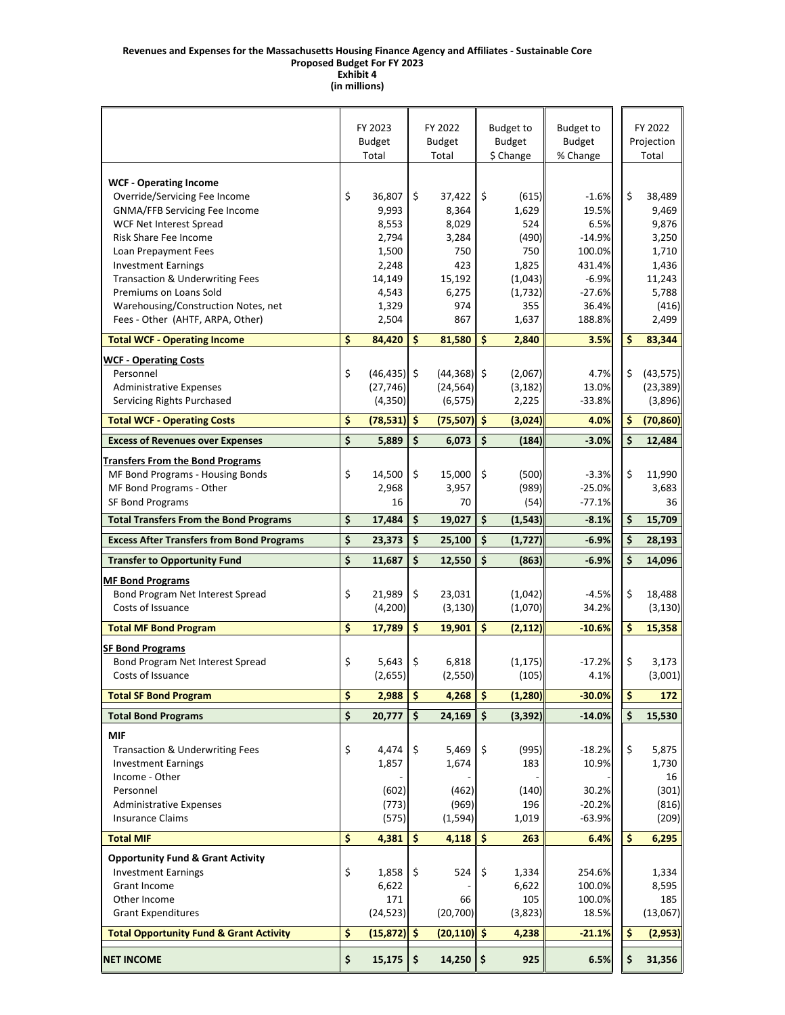#### **Revenues and Expenses for the Massachusetts Housing Finance Agency and Affiliates ‐ Sustainable Core Proposed Budget For FY 2023 Exhibit 4**

**(in millions)**

|                                                                |                         | FY 2023<br><b>Budget</b> |                                 | FY 2022<br><b>Budget</b> | <b>Budget to</b><br><b>Budget</b> | <b>Budget to</b><br><b>Budget</b> |  |                         | FY 2022<br>Projection |
|----------------------------------------------------------------|-------------------------|--------------------------|---------------------------------|--------------------------|-----------------------------------|-----------------------------------|--|-------------------------|-----------------------|
|                                                                |                         | Total                    |                                 | Total                    | \$ Change                         | % Change                          |  |                         | Total                 |
| <b>WCF - Operating Income</b><br>Override/Servicing Fee Income | \$                      | 36,807                   | \$                              | 37,422                   | \$<br>(615)                       | $-1.6%$                           |  | \$                      | 38,489                |
| GNMA/FFB Servicing Fee Income                                  |                         | 9,993                    |                                 | 8,364                    | 1,629                             | 19.5%                             |  |                         | 9,469                 |
| <b>WCF Net Interest Spread</b>                                 |                         | 8,553                    |                                 | 8,029                    | 524                               | 6.5%                              |  |                         | 9,876                 |
| Risk Share Fee Income                                          |                         | 2,794                    |                                 | 3,284                    | (490)                             | $-14.9%$                          |  |                         | 3,250                 |
| Loan Prepayment Fees                                           |                         | 1,500                    |                                 | 750                      | 750                               | 100.0%                            |  |                         | 1,710                 |
| <b>Investment Earnings</b>                                     |                         | 2,248                    |                                 | 423                      | 1,825                             | 431.4%                            |  |                         | 1,436                 |
| Transaction & Underwriting Fees                                |                         | 14,149                   |                                 | 15,192                   | (1,043)                           | $-6.9%$                           |  |                         | 11,243                |
| Premiums on Loans Sold                                         |                         | 4,543                    |                                 | 6,275                    | (1,732)                           | $-27.6%$                          |  |                         | 5,788                 |
| Warehousing/Construction Notes, net                            |                         | 1,329                    |                                 | 974                      | 355                               | 36.4%                             |  |                         | (416)                 |
| Fees - Other (AHTF, ARPA, Other)                               |                         | 2,504                    |                                 | 867                      | 1,637                             | 188.8%                            |  |                         | 2,499                 |
| <b>Total WCF - Operating Income</b>                            | \$                      | 84,420                   | $\dot{\mathsf{s}}$              | 81,580                   | \$<br>2,840                       | 3.5%                              |  | \$                      | 83,344                |
| <b>WCF - Operating Costs</b>                                   |                         |                          |                                 |                          |                                   |                                   |  |                         |                       |
| Personnel                                                      | \$                      | $(46, 435)$ \$           |                                 | $(44,368)$ \$            | (2,067)                           | 4.7%                              |  | \$                      | (43, 575)             |
| <b>Administrative Expenses</b>                                 |                         | (27, 746)                |                                 | (24, 564)                | (3, 182)                          | 13.0%                             |  |                         | (23, 389)             |
| Servicing Rights Purchased                                     |                         | (4, 350)                 |                                 | (6, 575)                 | 2,225                             | $-33.8%$                          |  |                         | (3,896)               |
| <b>Total WCF - Operating Costs</b>                             | \$                      | $(78,531)$ \$            |                                 | (75, 507)                | \$<br>(3,024)                     | 4.0%                              |  | \$                      | (70, 860)             |
| <b>Excess of Revenues over Expenses</b>                        | \$                      | 5,889                    | $\dot{\mathsf{s}}$              | 6,073                    | \$<br>(184)                       | $-3.0%$                           |  | \$                      | 12,484                |
| <b>Transfers From the Bond Programs</b>                        |                         |                          |                                 |                          |                                   |                                   |  |                         |                       |
| MF Bond Programs - Housing Bonds                               | \$                      | 14,500                   | \$                              | 15,000                   | \$<br>(500)                       | $-3.3%$                           |  | \$                      | 11,990                |
| MF Bond Programs - Other                                       |                         | 2,968                    |                                 | 3,957                    | (989)                             | $-25.0%$                          |  |                         | 3,683                 |
| <b>SF Bond Programs</b>                                        |                         | 16                       |                                 | 70                       | (54)                              | $-77.1%$                          |  |                         | 36                    |
| <b>Total Transfers From the Bond Programs</b>                  | \$                      | 17,484                   | \$                              | 19,027                   | \$<br>(1, 543)                    | $-8.1%$                           |  | \$                      | 15,709                |
| <b>Excess After Transfers from Bond Programs</b>               | \$                      | 23,373                   | $\ddot{\bm{\zeta}}$             | 25,100                   | \$<br>(1, 727)                    | $-6.9%$                           |  | Ś                       | 28,193                |
| <b>Transfer to Opportunity Fund</b>                            | \$                      | 11,687                   | $\overline{\boldsymbol{\zeta}}$ | 12,550                   | \$<br>(863)                       | $-6.9%$                           |  | \$                      | 14,096                |
| <b>MF Bond Programs</b>                                        |                         |                          |                                 |                          |                                   |                                   |  |                         |                       |
| Bond Program Net Interest Spread                               | \$                      | 21,989                   | \$                              | 23,031                   | (1,042)                           | $-4.5%$                           |  | \$                      | 18,488                |
| Costs of Issuance                                              |                         | (4,200)                  |                                 | (3, 130)                 | (1,070)                           | 34.2%                             |  |                         | (3, 130)              |
| <b>Total MF Bond Program</b>                                   | \$                      | 17,789                   | \$                              | 19,901                   | \$<br>(2, 112)                    | $-10.6%$                          |  | \$                      | 15,358                |
| <b>SF Bond Programs</b>                                        |                         |                          |                                 |                          |                                   |                                   |  |                         |                       |
| Bond Program Net Interest Spread                               | \$                      | 5,643                    | $\zeta$                         | 6,818                    | (1, 175)                          | $-17.2%$                          |  | \$                      | 3,173                 |
| Costs of Issuance                                              |                         | (2,655)                  |                                 | (2, 550)                 | (105)                             | 4.1%                              |  |                         | (3,001)               |
| <b>Total SF Bond Program</b>                                   | \$                      | 2,988                    | $\overline{\mathbf{S}}$         | 4,268                    | \$<br>(1, 280)                    | $-30.0%$                          |  | $\overline{\mathbf{S}}$ | 172                   |
|                                                                |                         |                          |                                 |                          |                                   |                                   |  |                         |                       |
| <b>Total Bond Programs</b>                                     | \$                      | 20,777                   | \$                              | 24,169                   | \$<br>(3, 392)                    | $-14.0%$                          |  | \$                      | 15,530                |
| <b>MIF</b>                                                     |                         |                          |                                 |                          |                                   |                                   |  |                         |                       |
| <b>Transaction &amp; Underwriting Fees</b>                     | \$                      | 4,474                    | \$                              | 5,469                    | \$<br>(995)                       | $-18.2%$                          |  | \$                      | 5,875                 |
| <b>Investment Earnings</b>                                     |                         | 1,857                    |                                 | 1,674                    | 183                               | 10.9%                             |  |                         | 1,730                 |
| Income - Other                                                 |                         |                          |                                 |                          |                                   |                                   |  |                         | 16                    |
| Personnel                                                      |                         | (602)                    |                                 | (462)                    | (140)                             | 30.2%                             |  |                         | (301)                 |
| <b>Administrative Expenses</b>                                 |                         | (773)                    |                                 | (969)                    | 196                               | $-20.2%$                          |  |                         | (816)                 |
| <b>Insurance Claims</b>                                        |                         | (575)                    |                                 | (1, 594)                 | 1,019                             | $-63.9%$                          |  |                         | (209)                 |
| <b>Total MIF</b>                                               | $\overline{\mathsf{s}}$ | 4,381                    | $\dot{\mathsf{s}}$              | 4,118                    | \$<br>263                         | 6.4%                              |  | \$                      | 6,295                 |
| <b>Opportunity Fund &amp; Grant Activity</b>                   |                         |                          |                                 |                          |                                   |                                   |  |                         |                       |
| <b>Investment Earnings</b>                                     | \$                      | 1,858                    | \$                              | 524                      | \$<br>1,334                       | 254.6%                            |  |                         | 1,334                 |
| Grant Income                                                   |                         | 6,622                    |                                 |                          | 6,622                             | 100.0%                            |  |                         | 8,595                 |
| Other Income                                                   |                         | 171                      |                                 | 66                       | 105                               | 100.0%                            |  |                         | 185                   |
| <b>Grant Expenditures</b>                                      |                         | (24, 523)                |                                 | (20, 700)                | (3,823)                           | 18.5%                             |  |                         | (13,067)              |
| <b>Total Opportunity Fund &amp; Grant Activity</b>             | \$                      | $(15, 872)$ \$           |                                 | $(20, 110)$ \$           | 4,238                             | $-21.1%$                          |  | \$                      | (2, 953)              |
| <b>NET INCOME</b>                                              | \$                      | 15,175                   | \$                              | 14,250                   | \$<br>925                         | 6.5%                              |  | \$                      | 31,356                |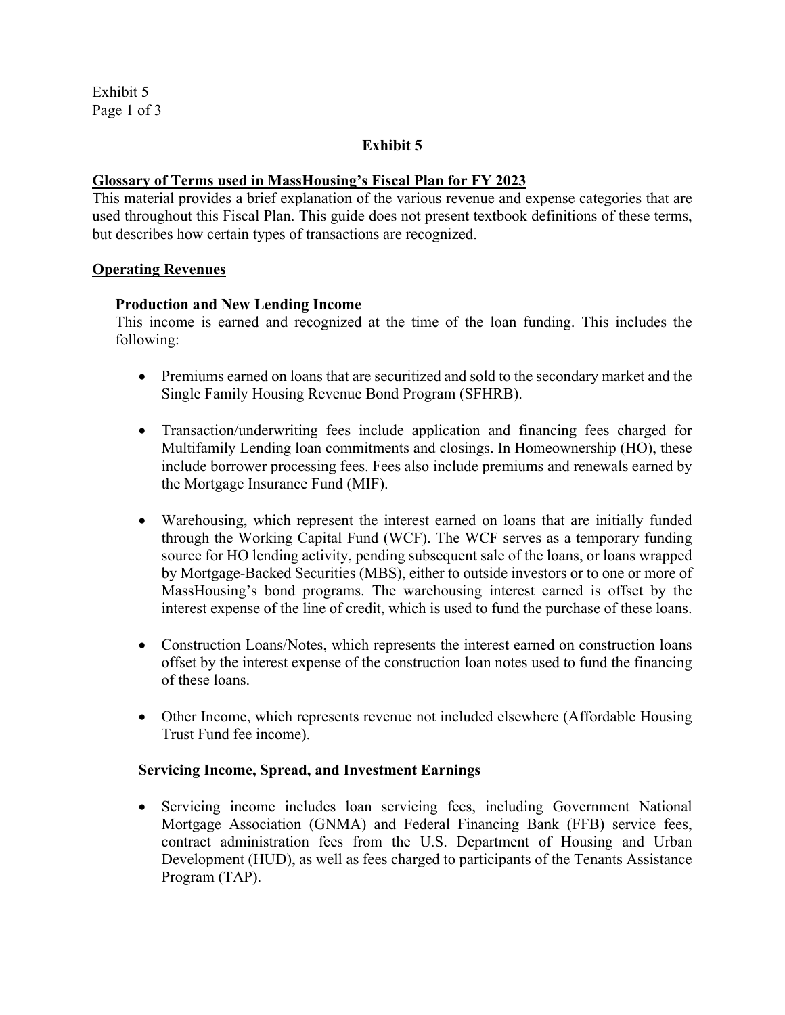Exhibit 5 Page 1 of 3

## **Exhibit 5**

### **Glossary of Terms used in MassHousing's Fiscal Plan for FY 2023**

This material provides a brief explanation of the various revenue and expense categories that are used throughout this Fiscal Plan. This guide does not present textbook definitions of these terms, but describes how certain types of transactions are recognized.

#### **Operating Revenues**

#### **Production and New Lending Income**

This income is earned and recognized at the time of the loan funding. This includes the following:

- Premiums earned on loans that are securitized and sold to the secondary market and the Single Family Housing Revenue Bond Program (SFHRB).
- Transaction/underwriting fees include application and financing fees charged for Multifamily Lending loan commitments and closings. In Homeownership (HO), these include borrower processing fees. Fees also include premiums and renewals earned by the Mortgage Insurance Fund (MIF).
- Warehousing, which represent the interest earned on loans that are initially funded through the Working Capital Fund (WCF). The WCF serves as a temporary funding source for HO lending activity, pending subsequent sale of the loans, or loans wrapped by Mortgage-Backed Securities (MBS), either to outside investors or to one or more of MassHousing's bond programs. The warehousing interest earned is offset by the interest expense of the line of credit, which is used to fund the purchase of these loans.
- Construction Loans/Notes, which represents the interest earned on construction loans offset by the interest expense of the construction loan notes used to fund the financing of these loans.
- Other Income, which represents revenue not included elsewhere (Affordable Housing Trust Fund fee income).

#### **Servicing Income, Spread, and Investment Earnings**

 Servicing income includes loan servicing fees, including Government National Mortgage Association (GNMA) and Federal Financing Bank (FFB) service fees, contract administration fees from the U.S. Department of Housing and Urban Development (HUD), as well as fees charged to participants of the Tenants Assistance Program (TAP).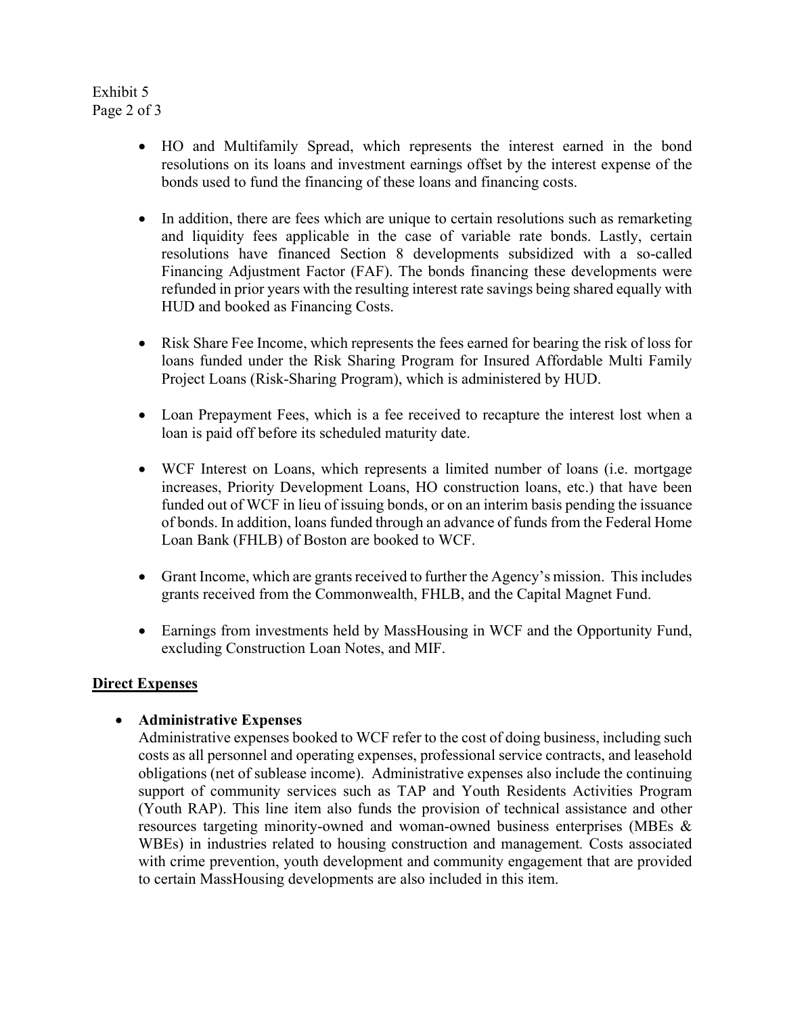Exhibit 5 Page 2 of 3

- HO and Multifamily Spread, which represents the interest earned in the bond resolutions on its loans and investment earnings offset by the interest expense of the bonds used to fund the financing of these loans and financing costs.
- In addition, there are fees which are unique to certain resolutions such as remarketing and liquidity fees applicable in the case of variable rate bonds. Lastly, certain resolutions have financed Section 8 developments subsidized with a so-called Financing Adjustment Factor (FAF). The bonds financing these developments were refunded in prior years with the resulting interest rate savings being shared equally with HUD and booked as Financing Costs.
- Risk Share Fee Income, which represents the fees earned for bearing the risk of loss for loans funded under the Risk Sharing Program for Insured Affordable Multi Family Project Loans (Risk-Sharing Program), which is administered by HUD.
- Loan Prepayment Fees, which is a fee received to recapture the interest lost when a loan is paid off before its scheduled maturity date.
- WCF Interest on Loans, which represents a limited number of loans (i.e. mortgage increases, Priority Development Loans, HO construction loans, etc.) that have been funded out of WCF in lieu of issuing bonds, or on an interim basis pending the issuance of bonds. In addition, loans funded through an advance of funds from the Federal Home Loan Bank (FHLB) of Boston are booked to WCF.
- Grant Income, which are grants received to further the Agency's mission. This includes grants received from the Commonwealth, FHLB, and the Capital Magnet Fund.
- Earnings from investments held by MassHousing in WCF and the Opportunity Fund, excluding Construction Loan Notes, and MIF.

# **Direct Expenses**

# **Administrative Expenses**

Administrative expenses booked to WCF refer to the cost of doing business, including such costs as all personnel and operating expenses, professional service contracts, and leasehold obligations (net of sublease income). Administrative expenses also include the continuing support of community services such as TAP and Youth Residents Activities Program (Youth RAP). This line item also funds the provision of technical assistance and other resources targeting minority-owned and woman-owned business enterprises (MBEs & WBEs) in industries related to housing construction and management*.* Costs associated with crime prevention, youth development and community engagement that are provided to certain MassHousing developments are also included in this item.